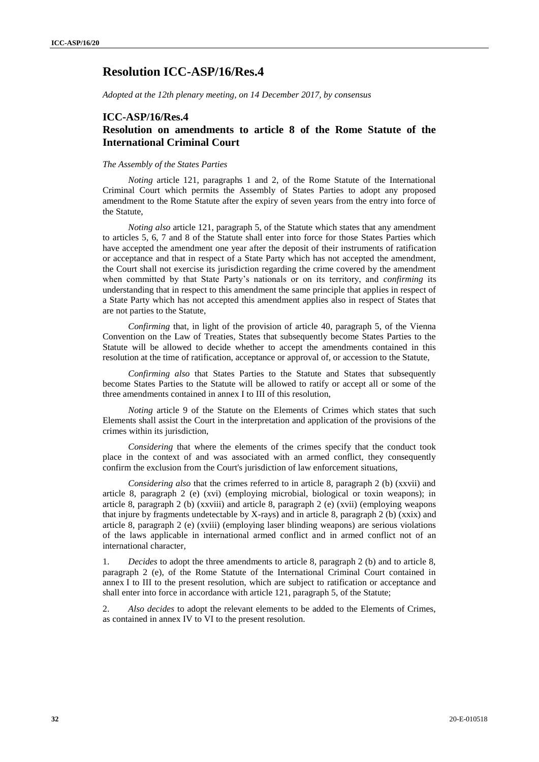## **Resolution ICC-ASP/16/Res.4**

*Adopted at the 12th plenary meeting, on 14 December 2017, by consensus*

#### **ICC-ASP/16/Res.4**

#### **Resolution on amendments to article 8 of the Rome Statute of the International Criminal Court**

#### *The Assembly of the States Parties*

*Noting* article 121, paragraphs 1 and 2, of the Rome Statute of the International Criminal Court which permits the Assembly of States Parties to adopt any proposed amendment to the Rome Statute after the expiry of seven years from the entry into force of the Statute,

*Noting also* article 121, paragraph 5, of the Statute which states that any amendment to articles 5, 6, 7 and 8 of the Statute shall enter into force for those States Parties which have accepted the amendment one year after the deposit of their instruments of ratification or acceptance and that in respect of a State Party which has not accepted the amendment, the Court shall not exercise its jurisdiction regarding the crime covered by the amendment when committed by that State Party's nationals or on its territory, and *confirming* its understanding that in respect to this amendment the same principle that applies in respect of a State Party which has not accepted this amendment applies also in respect of States that are not parties to the Statute,

*Confirming* that, in light of the provision of article 40, paragraph 5, of the Vienna Convention on the Law of Treaties, States that subsequently become States Parties to the Statute will be allowed to decide whether to accept the amendments contained in this resolution at the time of ratification, acceptance or approval of, or accession to the Statute,

*Confirming also* that States Parties to the Statute and States that subsequently become States Parties to the Statute will be allowed to ratify or accept all or some of the three amendments contained in annex I to III of this resolution,

*Noting* article 9 of the Statute on the Elements of Crimes which states that such Elements shall assist the Court in the interpretation and application of the provisions of the crimes within its jurisdiction,

*Considering* that where the elements of the crimes specify that the conduct took place in the context of and was associated with an armed conflict, they consequently confirm the exclusion from the Court's jurisdiction of law enforcement situations,

*Considering also* that the crimes referred to in article 8, paragraph 2 (b) (xxvii) and article 8, paragraph 2 (e) (xvi) (employing microbial, biological or toxin weapons); in article 8, paragraph 2 (b) (xxviii) and article 8, paragraph 2 (e) (xvii) (employing weapons that injure by fragments undetectable by X-rays) and in article 8, paragraph 2 (b) (xxix) and article 8, paragraph 2 (e) (xviii) (employing laser blinding weapons) are serious violations of the laws applicable in international armed conflict and in armed conflict not of an international character,

1. *Decides* to adopt the three amendments to article 8, paragraph 2 (b) and to article 8, paragraph 2 (e), of the Rome Statute of the International Criminal Court contained in annex I to III to the present resolution, which are subject to ratification or acceptance and shall enter into force in accordance with article 121, paragraph 5, of the Statute;

2. *Also decides* to adopt the relevant elements to be added to the Elements of Crimes, as contained in annex IV to VI to the present resolution.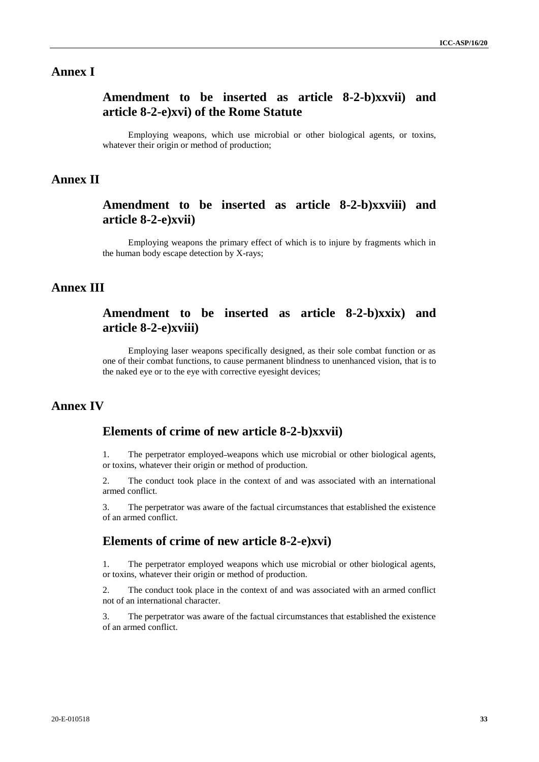### **Annex I**

# **Amendment to be inserted as article 8-2-b)xxvii) and article 8-2-e)xvi) of the Rome Statute**

Employing weapons, which use microbial or other biological agents, or toxins, whatever their origin or method of production;

#### **Annex II**

## **Amendment to be inserted as article 8-2-b)xxviii) and article 8-2-e)xvii)**

Employing weapons the primary effect of which is to injure by fragments which in the human body escape detection by X-rays;

### **Annex III**

## **Amendment to be inserted as article 8-2-b)xxix) and article 8-2-e)xviii)**

Employing laser weapons specifically designed, as their sole combat function or as one of their combat functions, to cause permanent blindness to unenhanced vision, that is to the naked eye or to the eye with corrective eyesight devices;

# **Annex IV**

#### **Elements of crime of new article 8-2-b)xxvii)**

1. The perpetrator employed weapons which use microbial or other biological agents, or toxins, whatever their origin or method of production.

2. The conduct took place in the context of and was associated with an international armed conflict.

3. The perpetrator was aware of the factual circumstances that established the existence of an armed conflict.

#### **Elements of crime of new article 8-2-e)xvi)**

1. The perpetrator employed weapons which use microbial or other biological agents, or toxins, whatever their origin or method of production.

2. The conduct took place in the context of and was associated with an armed conflict not of an international character.

3. The perpetrator was aware of the factual circumstances that established the existence of an armed conflict.